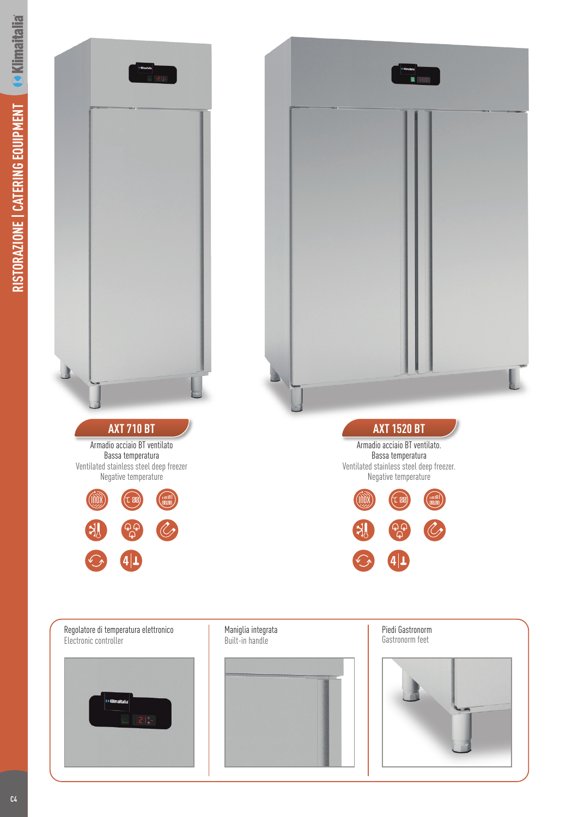

Regolatore di temperatura elettronico Electronic controller



Maniglia integrata Built-in handle

Piedi Gastronorm Gastronorm feet